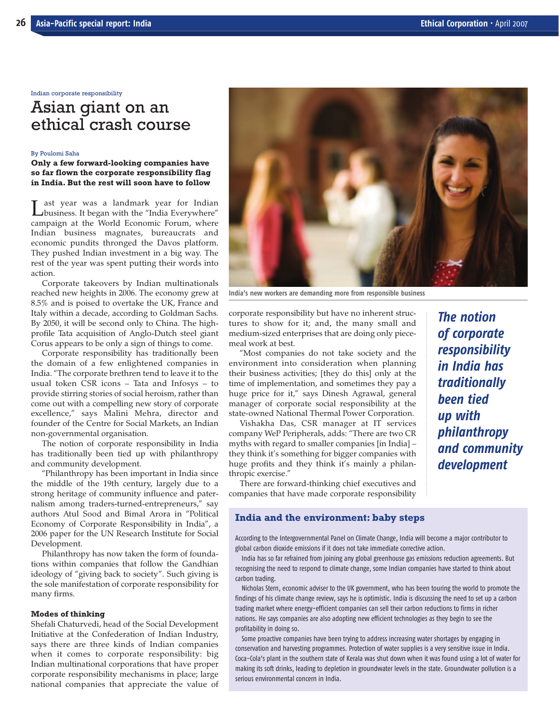Indian corporate responsibility

# Asian giant on an ethical crash course

#### By Poulomi Saha

**Only a few forward-looking companies have so far flown the corporate responsibility flag in India. But the rest will soon have to follow**

Last year was a landmark year for Indian<br>
business. It began with the "India Everywhere" campaign at the World Economic Forum, where Indian business magnates, bureaucrats and economic pundits thronged the Davos platform. They pushed Indian investment in a big way. The rest of the year was spent putting their words into action.

Corporate takeovers by Indian multinationals reached new heights in 2006. The economy grew at 8.5% and is poised to overtake the UK, France and Italy within a decade, according to Goldman Sachs. By 2050, it will be second only to China. The highprofile Tata acquisition of Anglo-Dutch steel giant Corus appears to be only a sign of things to come.

Corporate responsibility has traditionally been the domain of a few enlightened companies in India. "The corporate brethren tend to leave it to the usual token CSR icons – Tata and Infosys – to provide stirring stories of social heroism, rather than come out with a compelling new story of corporate excellence," says Malini Mehra, director and founder of the Centre for Social Markets, an Indian non-governmental organisation.

The notion of corporate responsibility in India has traditionally been tied up with philanthropy and community development.

"Philanthropy has been important in India since the middle of the 19th century, largely due to a strong heritage of community influence and paternalism among traders-turned-entrepreneurs," say authors Atul Sood and Bimal Arora in "Political Economy of Corporate Responsibility in India", a 2006 paper for the UN Research Institute for Social Development.

Philanthropy has now taken the form of foundations within companies that follow the Gandhian ideology of "giving back to society". Such giving is the sole manifestation of corporate responsibility for many firms.

#### **Modes of thinking**

Shefali Chaturvedi, head of the Social Development Initiative at the Confederation of Indian Industry, says there are three kinds of Indian companies when it comes to corporate responsibility: big Indian multinational corporations that have proper corporate responsibility mechanisms in place; large national companies that appreciate the value of



**India's new workers are demanding more from responsible business**

corporate responsibility but have no inherent structures to show for it; and, the many small and medium-sized enterprises that are doing only piecemeal work at best.

"Most companies do not take society and the environment into consideration when planning their business activities; [they do this] only at the time of implementation, and sometimes they pay a huge price for it," says Dinesh Agrawal, general manager of corporate social responsibility at the state-owned National Thermal Power Corporation.

Vishakha Das, CSR manager at IT services company WeP Peripherals, adds: "There are two CR myths with regard to smaller companies [in India] – they think it's something for bigger companies with huge profits and they think it's mainly a philanthropic exercise."

There are forward-thinking chief executives and companies that have made corporate responsibility

# **India and the environment: baby steps**

According to the Intergovernmental Panel on Climate Change, India will become a major contributor to global carbon dioxide emissions if it does not take immediate corrective action.

India has so far refrained from joining any global greenhouse gas emissions reduction agreements. But recognising the need to respond to climate change, some Indian companies have started to think about carbon trading.

Nicholas Stern, economic adviser to the UK government, who has been touring the world to promote the findings of his climate change review, says he is optimistic. India is discussing the need to set up a carbon trading market where energy-efficient companies can sell their carbon reductions to firms in richer nations. He says companies are also adopting new efficient technologies as they begin to see the profitability in doing so.

Some proactive companies have been trying to address increasing water shortages by engaging in conservation and harvesting programmes. Protection of water supplies is a very sensitive issue in India. Coca-Cola's plant in the southern state of Kerala was shut down when it was found using a lot of water for making its soft drinks, leading to depletion in groundwater levels in the state. Groundwater pollution is a serious environmental concern in India.

*The notion of corporate responsibility in India has traditionally been tied up with philanthropy and community development*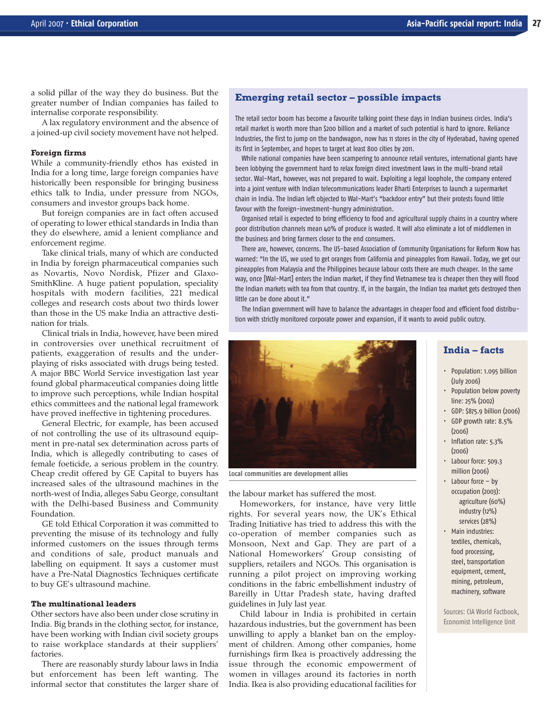a solid pillar of the way they do business. But the greater number of Indian companies has failed to internalise corporate responsibility.

A lax regulatory environment and the absence of a joined-up civil society movement have not helped.

#### **Foreign firms**

While a community-friendly ethos has existed in India for a long time, large foreign companies have historically been responsible for bringing business ethics talk to India, under pressure from NGOs, consumers and investor groups back home.

But foreign companies are in fact often accused of operating to lower ethical standards in India than they do elsewhere, amid a lenient compliance and enforcement regime.

Take clinical trials, many of which are conducted in India by foreign pharmaceutical companies such as Novartis, Novo Nordisk, Pfizer and Glaxo-SmithKline. A huge patient population, speciality hospitals with modern facilities, 221 medical colleges and research costs about two thirds lower than those in the US make India an attractive destination for trials.

Clinical trials in India, however, have been mired in controversies over unethical recruitment of patients, exaggeration of results and the underplaying of risks associated with drugs being tested. A major BBC World Service investigation last year found global pharmaceutical companies doing little to improve such perceptions, while Indian hospital ethics committees and the national legal framework have proved ineffective in tightening procedures.

General Electric, for example, has been accused of not controlling the use of its ultrasound equipment in pre-natal sex determination across parts of India, which is allegedly contributing to cases of female foeticide, a serious problem in the country. Cheap credit offered by GE Capital to buyers has increased sales of the ultrasound machines in the north-west of India, alleges Sabu George, consultant with the Delhi-based Business and Community Foundation.

GE told Ethical Corporation it was committed to preventing the misuse of its technology and fully informed customers on the issues through terms and conditions of sale, product manuals and labelling on equipment. It says a customer must have a Pre-Natal Diagnostics Techniques certificate to buy GE's ultrasound machine.

## **The multinational leaders**

Other sectors have also been under close scrutiny in India. Big brands in the clothing sector, for instance, have been working with Indian civil society groups to raise workplace standards at their suppliers' factories.

There are reasonably sturdy labour laws in India but enforcement has been left wanting. The informal sector that constitutes the larger share of

## **Emerging retail sector – possible impacts**

The retail sector boom has become a favourite talking point these days in Indian business circles. India's retail market is worth more than \$200 billion and a market of such potential is hard to ignore. Reliance Industries, the first to jump on the bandwagon, now has 11 stores in the city of Hyderabad, having opened its first in September, and hopes to target at least 800 cities by 2011.

While national companies have been scampering to announce retail ventures, international giants have been lobbying the government hard to relax foreign direct investment laws in the multi-brand retail sector. Wal-Mart, however, was not prepared to wait. Exploiting a legal loophole, the company entered into a joint venture with Indian telecommunications leader Bharti Enterprises to launch a supermarket chain in India. The Indian left objected to Wal-Mart's "backdoor entry" but their protests found little favour with the foreign-investment-hungry administration.

Organised retail is expected to bring efficiency to food and agricultural supply chains in a country where poor distribution channels mean 40% of produce is wasted. It will also eliminate a lot of middlemen in the business and bring farmers closer to the end consumers.

There are, however, concerns. The US-based Association of Community Organisations for Reform Now has warned: "In the US, we used to get oranges from California and pineapples from Hawaii. Today, we get our pineapples from Malaysia and the Philippines because labour costs there are much cheaper. In the same way, once [Wal-Mart] enters the Indian market, if they find Vietnamese tea is cheaper then they will flood the Indian markets with tea from that country. If, in the bargain, the Indian tea market gets destroyed then little can be done about it."

The Indian government will have to balance the advantages in cheaper food and efficient food distribution with strictly monitored corporate power and expansion, if it wants to avoid public outcry.



**Local communities are development allies**

the labour market has suffered the most.

Homeworkers, for instance, have very little rights. For several years now, the UK's Ethical Trading Initiative has tried to address this with the co-operation of member companies such as Monsoon, Next and Gap. They are part of a National Homeworkers' Group consisting of suppliers, retailers and NGOs. This organisation is running a pilot project on improving working conditions in the fabric embellishment industry of Bareilly in Uttar Pradesh state, having drafted guidelines in July last year.

Child labour in India is prohibited in certain hazardous industries, but the government has been unwilling to apply a blanket ban on the employment of children. Among other companies, home furnishings firm Ikea is proactively addressing the issue through the economic empowerment of women in villages around its factories in north India. Ikea is also providing educational facilities for

# **India – facts**

- Population: 1.095 billion (July 2006)
- Population below poverty line: 25% (2002)
- GDP: \$875.9 billion (2006)
- GDP growth rate: 8.5% (2006)
- Inflation rate: 5.3% (2006)
- Labour force: 509.3 million (2006)
- $\cdot$  Labour force by occupation (2003): agriculture (60%) industry (12%) services (28%)
- Main industries: textiles, chemicals, food processing, steel, transportation equipment, cement, mining, petroleum, machinery, software

Sources: CIA World Factbook, Economist Intelligence Unit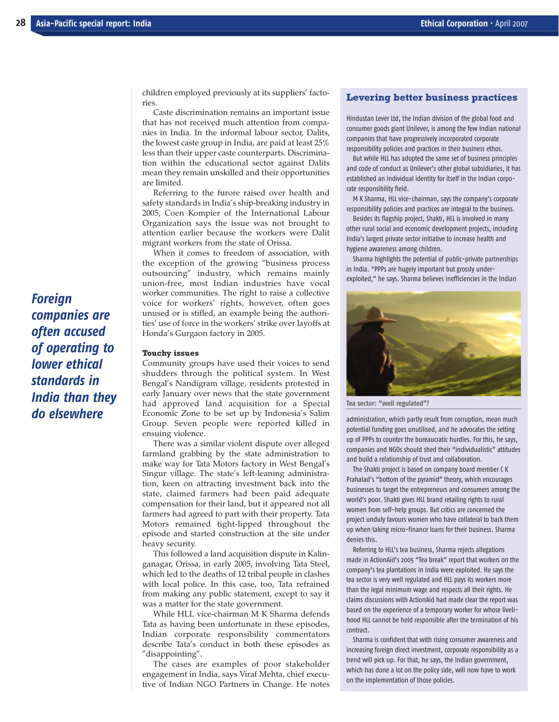children employed previously at its suppliers' factories.

Caste discrimination remains an important issue that has not received much attention from companies in India. In the informal labour sector, Dalits, the lowest caste group in India, are paid at least 25% less than their upper caste counterparts. Discrimination within the educational sector against Dalits mean they remain unskilled and their opportunities are limited.

Referring to the furore raised over health and safety standards in India's ship-breaking industry in 2005, Coen Kompier of the International Labour Organization says the issue was not brought to attention earlier because the workers were Dalit migrant workers from the state of Orissa.

When it comes to freedom of association, with the exception of the growing "business process outsourcing" industry, which remains mainly union-free, most Indian industries have vocal worker communities. The right to raise a collective voice for workers' rights, however, often goes unused or is stifled, an example being the authorities' use of force in the workers' strike over layoffs at Honda's Gurgaon factory in 2005.

#### **Touchy issues**

Community groups have used their voices to send shudders through the political system. In West Bengal's Nandigram village, residents protested in early January over news that the state government had approved land acquisition for a Special Economic Zone to be set up by Indonesia's Salim Group. Seven people were reported killed in ensuing violence.

There was a similar violent dispute over alleged farmland grabbing by the state administration to make way for Tata Motors factory in West Bengal's Singur village. The state's left-leaning administration, keen on attracting investment back into the state, claimed farmers had been paid adequate compensation for their land, but it appeared not all farmers had agreed to part with their property. Tata Motors remained tight-lipped throughout the episode and started construction at the site under heavy security.

This followed a land acquisition dispute in Kalinganagar, Orissa, in early 2005, involving Tata Steel, which led to the deaths of 12 tribal people in clashes with local police. In this case, too, Tata refrained from making any public statement, except to say it was a matter for the state government.

While HLL vice-chairman M K Sharma defends Tata as having been unfortunate in these episodes, Indian corporate responsibility commentators describe Tata's conduct in both these episodes as "disappointing".

The cases are examples of poor stakeholder engagement in India, says Viraf Mehta, chief executive of Indian NGO Partners in Change. He notes

## **Levering better business practices**

Hindustan Lever Ltd, the Indian division of the global food and consumer goods giant Unilever, is among the few Indian national companies that have progressively incorporated corporate responsibility policies and practices in their business ethos.

But while HLL has adopted the same set of business principles and code of conduct as Unilever's other global subsidiaries, it has established an individual identity for itself in the Indian corporate responsibility field.

M K Sharma, HLL vice-chairman, says the company's corporate responsibility policies and practices are integral to the business.

Besides its flagship project, Shakti, HLL is involved in many other rural social and economic development projects, including India's largest private sector initiative to increase health and hygiene awareness among children.

Sharma highlights the potential of public-private partnerships in India. "PPPs are hugely important but grossly underexploited," he says. Sharma believes inefficiencies in the Indian



**Tea sector: "well regulated"?**

administration, which partly result from corruption, mean much potential funding goes unutilised, and he advocates the setting up of PPPs to counter the bureaucratic hurdles. For this, he says, companies and NGOs should shed their "individualistic" attitudes and build a relationship of trust and collaboration.

The Shakti project is based on company board member C K Prahalad's "bottom of the pyramid" theory, which encourages businesses to target the entrepreneurs and consumers among the world's poor. Shakti gives HLL brand retailing rights to rural women from self-help groups. But critics are concerned the project unduly favours women who have collateral to back them up when taking micro-finance loans for their business. Sharma denies this.

Referring to HLL's tea business, Sharma rejects allegations made in ActionAid's 2005 "Tea break" report that workers on the company's tea plantations in India were exploited. He says the tea sector is very well regulated and HLL pays its workers more than the legal minimum wage and respects all their rights. He claims discussions with ActionAid had made clear the report was based on the experience of a temporary worker for whose livelihood HLL cannot be held responsible after the termination of his contract.

Sharma is confident that with rising consumer awareness and increasing foreign direct investment, corporate responsibility as a trend will pick up. For that, he says, the Indian government, which has done a lot on the policy side, will now have to work on the implementation of those policies.

*Foreign companies are often accused of operating to lower ethical standards in India than they do elsewhere*